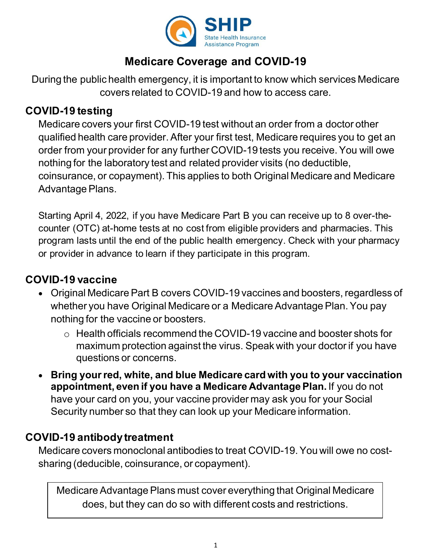

# **Medicare Coverage and COVID-19**

During the public health emergency, it is important to know which services Medicare covers related to COVID-19 and how to access care.

#### **COVID-19 testing**

Medicare covers your first COVID-19 test without an order from a doctor other qualified health care provider. After your first test, Medicare requires you to get an order from your provider for any further COVID-19 tests you receive. You will owe nothing for the laboratory test and related provider visits (no deductible, coinsurance, or copayment). This applies to both Original Medicare and Medicare Advantage Plans.

Starting April 4, 2022, if you have Medicare Part B you can receive up to 8 over-thecounter (OTC) at-home tests at no cost from eligible providers and pharmacies. This program lasts until the end of the public health emergency. Check with your pharmacy or provider in advance to learn if they participate in this program.

## **COVID-19 vaccine**

- Original Medicare Part B covers COVID-19 vaccines and boosters, regardless of whether you have Original Medicare or a Medicare Advantage Plan. You pay nothing for the vaccine or boosters.
	- o Health officials recommend the COVID-19 vaccine and booster shots for maximum protection against the virus. Speak with your doctor if you have questions or concerns.
- **Bring your red, white, and blue Medicare card with you to your vaccination appointment, even if you have a Medicare Advantage Plan.** If you do not have your card on you, your vaccine provider may ask you for your Social Security number so that they can look up your Medicare information.

### **COVID-19 antibody treatment**

Medicare covers monoclonal antibodies to treat COVID-19. You will owe no costsharing (deducible, coinsurance, or copayment).

Medicare Advantage Plans must cover everything that Original Medicare does, but they can do so with different costs and restrictions.